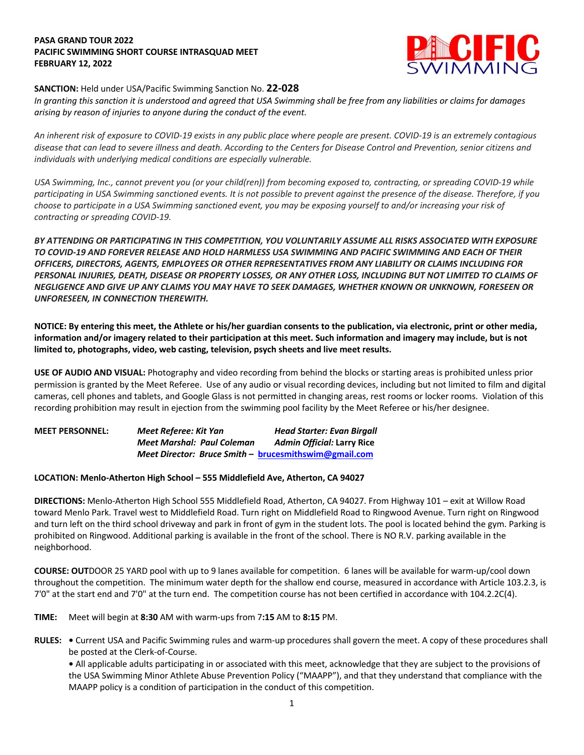## **PASA GRAND TOUR 2022 PACIFIC SWIMMING SHORT COURSE INTRASQUAD MEET FEBRUARY 12, 2022**



## **SANCTION:** Held under USA/Pacific Swimming Sanction No. **22-028**

*In granting this sanction it is understood and agreed that USA Swimming shall be free from any liabilities or claims for damages arising by reason of injuries to anyone during the conduct of the event.*

*An inherent risk of exposure to COVID-19 exists in any public place where people are present. COVID-19 is an extremely contagious disease that can lead to severe illness and death. According to the Centers for Disease Control and Prevention, senior citizens and individuals with underlying medical conditions are especially vulnerable.*

*USA Swimming, Inc., cannot prevent you (or your child(ren)) from becoming exposed to, contracting, or spreading COVID-19 while participating in USA Swimming sanctioned events. It is not possible to prevent against the presence of the disease. Therefore, if you choose to participate in a USA Swimming sanctioned event, you may be exposing yourself to and/or increasing your risk of contracting or spreading COVID-19.*

*BY ATTENDING OR PARTICIPATING IN THIS COMPETITION, YOU VOLUNTARILY ASSUME ALL RISKS ASSOCIATED WITH EXPOSURE TO COVID-19 AND FOREVER RELEASE AND HOLD HARMLESS USA SWIMMING AND PACIFIC SWIMMING AND EACH OF THEIR OFFICERS, DIRECTORS, AGENTS, EMPLOYEES OR OTHER REPRESENTATIVES FROM ANY LIABILITY OR CLAIMS INCLUDING FOR PERSONAL INJURIES, DEATH, DISEASE OR PROPERTY LOSSES, OR ANY OTHER LOSS, INCLUDING BUT NOT LIMITED TO CLAIMS OF NEGLIGENCE AND GIVE UP ANY CLAIMS YOU MAY HAVE TO SEEK DAMAGES, WHETHER KNOWN OR UNKNOWN, FORESEEN OR UNFORESEEN, IN CONNECTION THEREWITH.*

**NOTICE: By entering this meet, the Athlete or his/her guardian consents to the publication, via electronic, print or other media, information and/or imagery related to their participation at this meet. Such information and imagery may include, but is not limited to, photographs, video, web casting, television, psych sheets and live meet results.** 

**USE OF AUDIO AND VISUAL:** Photography and video recording from behind the blocks or starting areas is prohibited unless prior permission is granted by the Meet Referee. Use of any audio or visual recording devices, including but not limited to film and digital cameras, cell phones and tablets, and Google Glass is not permitted in changing areas, rest rooms or locker rooms. Violation of this recording prohibition may result in ejection from the swimming pool facility by the Meet Referee or his/her designee.

| <b>MEET PERSONNEL:</b> | Meet Referee: Kit Yan                                 | <b>Head Starter: Evan Birgall</b> |
|------------------------|-------------------------------------------------------|-----------------------------------|
|                        | <b>Meet Marshal: Paul Coleman</b>                     | Admin Official: Larry Rice        |
|                        | Meet Director: Bruce Smith - brucesmithswim@gmail.com |                                   |

## **LOCATION: Menlo-Atherton High School – 555 Middlefield Ave, Atherton, CA 94027**

**DIRECTIONS:** Menlo-Atherton High School 555 Middlefield Road, Atherton, CA 94027. From Highway 101 – exit at Willow Road toward Menlo Park. Travel west to Middlefield Road. Turn right on Middlefield Road to Ringwood Avenue. Turn right on Ringwood and turn left on the third school driveway and park in front of gym in the student lots. The pool is located behind the gym. Parking is prohibited on Ringwood. Additional parking is available in the front of the school. There is NO R.V. parking available in the neighborhood.

**COURSE: OUT**DOOR 25 YARD pool with up to 9 lanes available for competition. 6 lanes will be available for warm-up/cool down throughout the competition. The minimum water depth for the shallow end course, measured in accordance with Article 103.2.3, is 7'0" at the start end and 7'0" at the turn end. The competition course has not been certified in accordance with 104.2.2C(4).

**TIME:** Meet will begin at **8:30** AM with warm-ups from 7**:15** AM to **8:15** PM.

**RULES: •** Current USA and Pacific Swimming rules and warm-up procedures shall govern the meet. A copy of these procedures shall be posted at the Clerk-of-Course.

**•** All applicable adults participating in or associated with this meet, acknowledge that they are subject to the provisions of the USA Swimming Minor Athlete Abuse Prevention Policy ("MAAPP"), and that they understand that compliance with the MAAPP policy is a condition of participation in the conduct of this competition.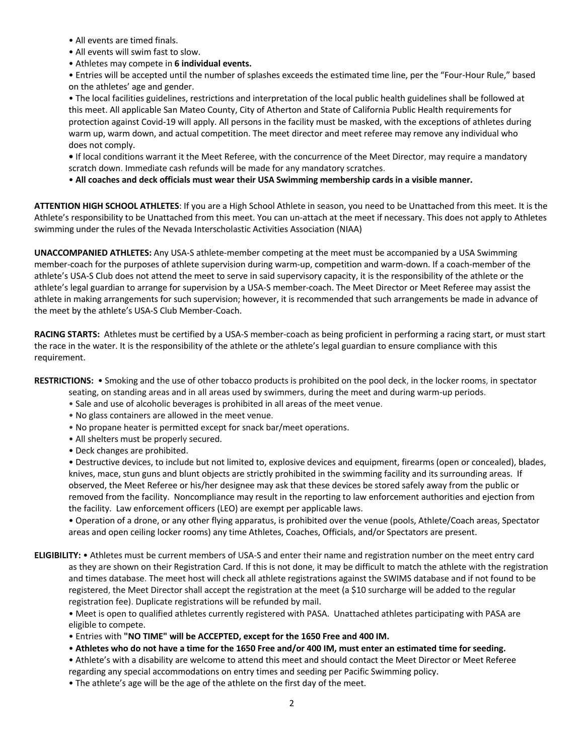- All events are timed finals.
- All events will swim fast to slow.
- Athletes may compete in **6 individual events.**

• Entries will be accepted until the number of splashes exceeds the estimated time line, per the "Four-Hour Rule," based on the athletes' age and gender.

• The local facilities guidelines, restrictions and interpretation of the local public health guidelines shall be followed at this meet. All applicable San Mateo County, City of Atherton and State of California Public Health requirements for protection against Covid-19 will apply. All persons in the facility must be masked, with the exceptions of athletes during warm up, warm down, and actual competition. The meet director and meet referee may remove any individual who does not comply.

**•** If local conditions warrant it the Meet Referee, with the concurrence of the Meet Director, may require a mandatory scratch down. Immediate cash refunds will be made for any mandatory scratches.

• **All coaches and deck officials must wear their USA Swimming membership cards in a visible manner.** 

**ATTENTION HIGH SCHOOL ATHLETES**: If you are a High School Athlete in season, you need to be Unattached from this meet. It is the Athlete's responsibility to be Unattached from this meet. You can un-attach at the meet if necessary. This does not apply to Athletes swimming under the rules of the Nevada Interscholastic Activities Association (NIAA)

**UNACCOMPANIED ATHLETES:** Any USA-S athlete-member competing at the meet must be accompanied by a USA Swimming member-coach for the purposes of athlete supervision during warm-up, competition and warm-down. If a coach-member of the athlete's USA-S Club does not attend the meet to serve in said supervisory capacity, it is the responsibility of the athlete or the athlete's legal guardian to arrange for supervision by a USA-S member-coach. The Meet Director or Meet Referee may assist the athlete in making arrangements for such supervision; however, it is recommended that such arrangements be made in advance of the meet by the athlete's USA-S Club Member-Coach.

**RACING STARTS:** Athletes must be certified by a USA-S member-coach as being proficient in performing a racing start, or must start the race in the water. It is the responsibility of the athlete or the athlete's legal guardian to ensure compliance with this requirement.

**RESTRICTIONS:** • Smoking and the use of other tobacco products is prohibited on the pool deck, in the locker rooms, in spectator

- seating, on standing areas and in all areas used by swimmers, during the meet and during warm-up periods.
- Sale and use of alcoholic beverages is prohibited in all areas of the meet venue.
- No glass containers are allowed in the meet venue.
- No propane heater is permitted except for snack bar/meet operations.
- All shelters must be properly secured.
- Deck changes are prohibited.

• Destructive devices, to include but not limited to, explosive devices and equipment, firearms (open or concealed), blades, knives, mace, stun guns and blunt objects are strictly prohibited in the swimming facility and its surrounding areas. If observed, the Meet Referee or his/her designee may ask that these devices be stored safely away from the public or removed from the facility. Noncompliance may result in the reporting to law enforcement authorities and ejection from the facility. Law enforcement officers (LEO) are exempt per applicable laws.

• Operation of a drone, or any other flying apparatus, is prohibited over the venue (pools, Athlete/Coach areas, Spectator areas and open ceiling locker rooms) any time Athletes, Coaches, Officials, and/or Spectators are present.

**ELIGIBILITY:** • Athletes must be current members of USA-S and enter their name and registration number on the meet entry card as they are shown on their Registration Card. If this is not done, it may be difficult to match the athlete with the registration and times database. The meet host will check all athlete registrations against the SWIMS database and if not found to be registered, the Meet Director shall accept the registration at the meet (a \$10 surcharge will be added to the regular registration fee). Duplicate registrations will be refunded by mail.

• Meet is open to qualified athletes currently registered with PASA. Unattached athletes participating with PASA are eligible to compete.

- Entries with **"NO TIME" will be ACCEPTED, except for the 1650 Free and 400 IM.**
- **Athletes who do not have a time for the 1650 Free and/or 400 IM, must enter an estimated time for seeding.**

• Athlete's with a disability are welcome to attend this meet and should contact the Meet Director or Meet Referee regarding any special accommodations on entry times and seeding per Pacific Swimming policy.

• The athlete's age will be the age of the athlete on the first day of the meet.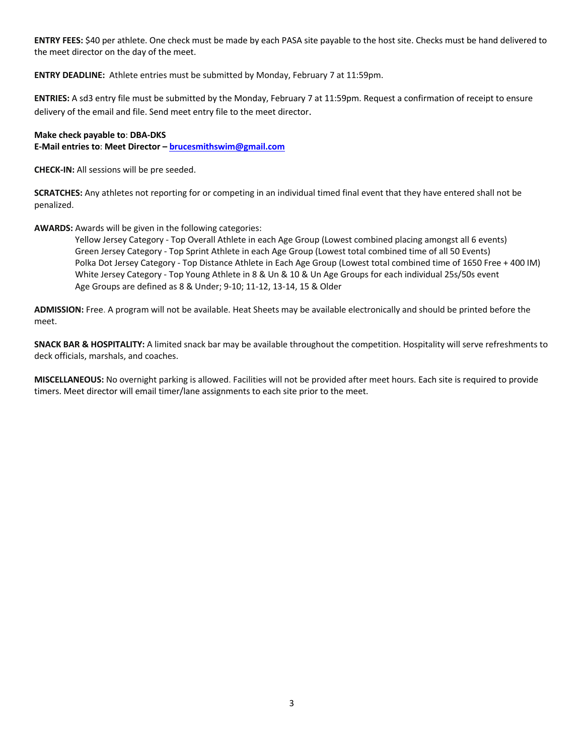**ENTRY FEES:** \$40 per athlete. One check must be made by each PASA site payable to the host site. Checks must be hand delivered to the meet director on the day of the meet.

**ENTRY DEADLINE:** Athlete entries must be submitted by Monday, February 7 at 11:59pm.

**ENTRIES:** A sd3 entry file must be submitted by the Monday, February 7 at 11:59pm. Request a confirmation of receipt to ensure delivery of the email and file. Send meet entry file to the meet director.

## **Make check payable to**: **DBA-DKS**

**E-Mail entries to**: **Meet Director – brucesmithswim@gmail.com**

**CHECK-IN:** All sessions will be pre seeded.

**SCRATCHES:** Any athletes not reporting for or competing in an individual timed final event that they have entered shall not be penalized.

**AWARDS:** Awards will be given in the following categories:

 Yellow Jersey Category - Top Overall Athlete in each Age Group (Lowest combined placing amongst all 6 events) Green Jersey Category - Top Sprint Athlete in each Age Group (Lowest total combined time of all 50 Events) Polka Dot Jersey Category - Top Distance Athlete in Each Age Group (Lowest total combined time of 1650 Free + 400 IM) White Jersey Category - Top Young Athlete in 8 & Un & 10 & Un Age Groups for each individual 25s/50s event Age Groups are defined as 8 & Under; 9-10; 11-12, 13-14, 15 & Older

**ADMISSION:** Free. A program will not be available. Heat Sheets may be available electronically and should be printed before the meet.

**SNACK BAR & HOSPITALITY:** A limited snack bar may be available throughout the competition. Hospitality will serve refreshments to deck officials, marshals, and coaches.

**MISCELLANEOUS:** No overnight parking is allowed. Facilities will not be provided after meet hours. Each site is required to provide timers. Meet director will email timer/lane assignments to each site prior to the meet.